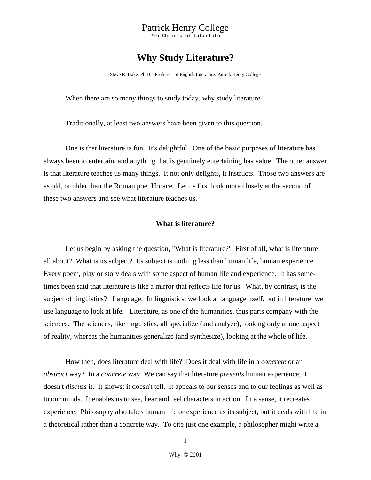Pro Christo et Libertate

# **Why Study Literature?**

Steve R. Hake, Ph.D. Professor of English Literature, Patrick Henry College

When there are so many things to study today, why study literature?

Traditionally, at least two answers have been given to this question.

 One is that literature is fun. It's delightful. One of the basic purposes of literature has always been to entertain, and anything that is genuinely entertaining has value. The other answer is that literature teaches us many things. It not only delights, it instructs. Those two answers are as old, or older than the Roman poet Horace. Let us first look more closely at the second of these two answers and see what literature teaches us.

### **What is literature?**

 Let us begin by asking the question, "What is literature?" First of all, what is literature all about? What is its subject? Its subject is nothing less than human life, human experience. Every poem, play or story deals with some aspect of human life and experience. It has sometimes been said that literature is like a mirror that reflects life for us. What, by contrast, is the subject of linguistics? Language. In linguistics, we look at language itself, but in literature, we use language to look at life. Literature, as one of the humanities, thus parts company with the sciences. The sciences, like linguistics, all specialize (and analyze), looking only at one aspect of reality, whereas the humanities generalize (and synthesize), looking at the whole of life.

 How then, does literature deal with life? Does it deal with life in a *concrete* or an *abstract* way? In a *concrete* way. We can say that literature *presents* human experience; it doesn't *discuss* it. It shows; it doesn't tell. It appeals to our senses and to our feelings as well as to our minds. It enables us to see, hear and feel characters in action. In a sense, it recreates experience. Philosophy also takes human life or experience as its subject, but it deals with life in a theoretical rather than a concrete way. To cite just one example, a philosopher might write a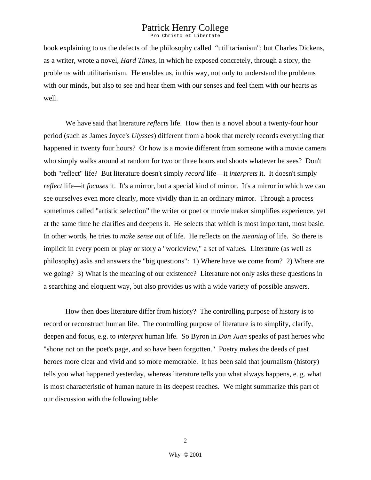Pro Christo et Libertate

book explaining to us the defects of the philosophy called "utilitarianism"; but Charles Dickens, as a writer, wrote a novel, *Hard Times*, in which he exposed concretely, through a story, the problems with utilitarianism. He enables us, in this way, not only to understand the problems with our minds, but also to see and hear them with our senses and feel them with our hearts as well.

 We have said that literature *reflects* life. How then is a novel about a twenty-four hour period (such as James Joyce's *Ulysses*) different from a book that merely records everything that happened in twenty four hours? Or how is a movie different from someone with a movie camera who simply walks around at random for two or three hours and shoots whatever he sees? Don't both "reflect" life? But literature doesn't simply *record* life—it *interprets* it. It doesn't simply *reflect* life—it *focuses* it. It's a mirror, but a special kind of mirror. It's a mirror in which we can see ourselves even more clearly, more vividly than in an ordinary mirror. Through a process sometimes called "artistic selection" the writer or poet or movie maker simplifies experience, yet at the same time he clarifies and deepens it. He selects that which is most important, most basic. In other words, he tries to *make sense* out of life. He reflects on the *meaning* of life. So there is implicit in every poem or play or story a "worldview," a set of values. Literature (as well as philosophy) asks and answers the "big questions": 1) Where have we come from? 2) Where are we going? 3) What is the meaning of our existence? Literature not only asks these questions in a searching and eloquent way, but also provides us with a wide variety of possible answers.

 How then does literature differ from history? The controlling purpose of history is to record or reconstruct human life. The controlling purpose of literature is to simplify, clarify, deepen and focus, e.g. to *interpret* human life. So Byron in *Don Juan* speaks of past heroes who "shone not on the poet's page, and so have been forgotten." Poetry makes the deeds of past heroes more clear and vivid and so more memorable. It has been said that journalism (history) tells you what happened yesterday, whereas literature tells you what always happens, e. g. what is most characteristic of human nature in its deepest reaches. We might summarize this part of our discussion with the following table: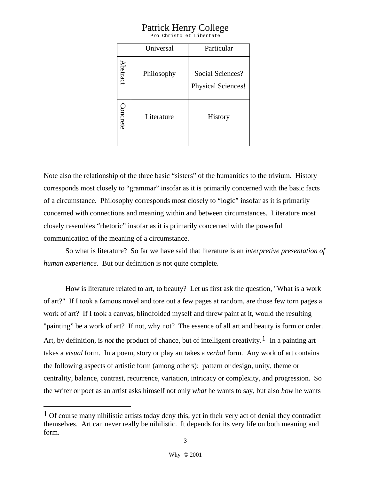Pro Christo et Libertate

|          | Universal  | Particular                                    |
|----------|------------|-----------------------------------------------|
| Abstract | Philosophy | Social Sciences?<br><b>Physical Sciences!</b> |
| Concrete | Literature | History                                       |

Note also the relationship of the three basic "sisters" of the humanities to the trivium. History corresponds most closely to "grammar" insofar as it is primarily concerned with the basic facts of a circumstance. Philosophy corresponds most closely to "logic" insofar as it is primarily concerned with connections and meaning within and between circumstances. Literature most closely resembles "rhetoric" insofar as it is primarily concerned with the powerful communication of the meaning of a circumstance.

 So what is literature? So far we have said that literature is an *interpretive presentation of human experience*. But our definition is not quite complete.

 How is literature related to art, to beauty? Let us first ask the question, "What is a work of art?" If I took a famous novel and tore out a few pages at random, are those few torn pages a work of art? If I took a canvas, blindfolded myself and threw paint at it, would the resulting "painting" be a work of art? If not, why not? The essence of all art and beauty is form or order. Art, by definition, is *not* the product of chance, but of intelligent creativity.<sup>1</sup> In a painting art takes a *visual* form. In a poem, story or play art takes a *verbal* form. Any work of art contains the following aspects of artistic form (among others): pattern or design, unity, theme or centrality, balance, contrast, recurrence, variation, intricacy or complexity, and progression. So the writer or poet as an artist asks himself not only *what* he wants to say, but also *how* he wants

<span id="page-2-0"></span><sup>&</sup>lt;sup>1</sup> Of course many nihilistic artists today deny this, yet in their very act of denial they contradict themselves. Art can never really be nihilistic. It depends for its very life on both meaning and form.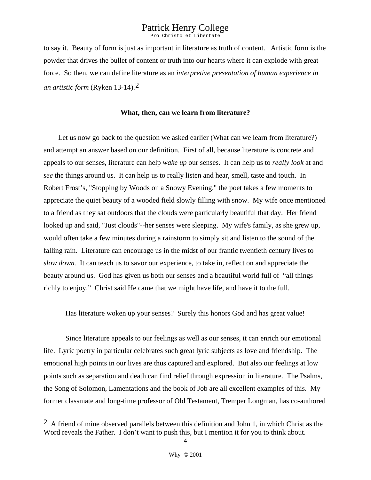Pro Christo et Libertate

to say it. Beauty of form is just as important in literature as truth of content. Artistic form is the powder that drives the bullet of content or truth into our hearts where it can explode with great force. So then, we can define literature as an *interpretive presentation of human experience in an artistic form* (Ryken 13-14).[2](#page-3-0)

#### **What, then, can we learn from literature?**

Let us now go back to the question we asked earlier (What can we learn from literature?) and attempt an answer based on our definition. First of all, because literature is concrete and appeals to our senses, literature can help *wake up* our senses. It can help us to *really look* at and *see* the things around us. It can help us to really listen and hear, smell, taste and touch. In Robert Frost's, "Stopping by Woods on a Snowy Evening," the poet takes a few moments to appreciate the quiet beauty of a wooded field slowly filling with snow. My wife once mentioned to a friend as they sat outdoors that the clouds were particularly beautiful that day. Her friend looked up and said, "Just clouds"--her senses were sleeping. My wife's family, as she grew up, would often take a few minutes during a rainstorm to simply sit and listen to the sound of the falling rain. Literature can encourage us in the midst of our frantic twentieth century lives to *slow down.* It can teach us to savor our experience, to take in, reflect on and appreciate the beauty around us. God has given us both our senses and a beautiful world full of "all things richly to enjoy." Christ said He came that we might have life, and have it to the full.

Has literature woken up your senses? Surely this honors God and has great value!

 Since literature appeals to our feelings as well as our senses, it can enrich our emotional life. Lyric poetry in particular celebrates such great lyric subjects as love and friendship. The emotional high points in our lives are thus captured and explored. But also our feelings at low points such as separation and death can find relief through expression in literature. The Psalms, the Song of Solomon, Lamentations and the book of Job are all excellent examples of this. My former classmate and long-time professor of Old Testament, Tremper Longman, has co-authored

<span id="page-3-0"></span> $2 \text{ A friend of mine observed parallels between this definition and John 1, in which Christ as the}$ Word reveals the Father. I don't want to push this, but I mention it for you to think about.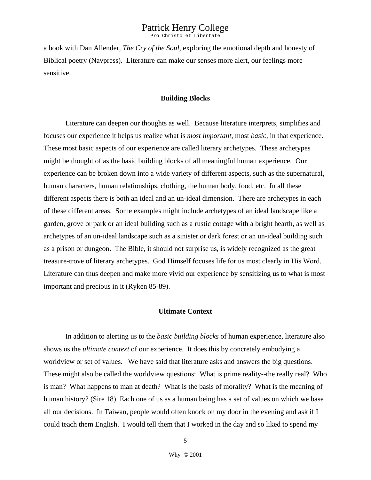Pro Christo et Libertate

a book with Dan Allender, *The Cry of the Soul,* exploring the emotional depth and honesty of Biblical poetry (Navpress). Literature can make our senses more alert, our feelings more sensitive.

### **Building Blocks**

 Literature can deepen our thoughts as well. Because literature interprets, simplifies and focuses our experience it helps us realize what is *most important*, most *basic*, in that experience. These most basic aspects of our experience are called literary archetypes. These archetypes might be thought of as the basic building blocks of all meaningful human experience. Our experience can be broken down into a wide variety of different aspects, such as the supernatural, human characters, human relationships, clothing, the human body, food, etc. In all these different aspects there is both an ideal and an un-ideal dimension. There are archetypes in each of these different areas. Some examples might include archetypes of an ideal landscape like a garden, grove or park or an ideal building such as a rustic cottage with a bright hearth, as well as archetypes of an un-ideal landscape such as a sinister or dark forest or an un-ideal building such as a prison or dungeon. The Bible, it should not surprise us, is widely recognized as the great treasure-trove of literary archetypes. God Himself focuses life for us most clearly in His Word. Literature can thus deepen and make more vivid our experience by sensitizing us to what is most important and precious in it (Ryken 85-89).

### **Ultimate Context**

 In addition to alerting us to the *basic building blocks* of human experience, literature also shows us the *ultimate context* of our experience. It does this by concretely embodying a worldview or set of values. We have said that literature asks and answers the big questions. These might also be called the worldview questions: What is prime reality--the really real? Who is man? What happens to man at death? What is the basis of morality? What is the meaning of human history? (Sire 18) Each one of us as a human being has a set of values on which we base all our decisions. In Taiwan, people would often knock on my door in the evening and ask if I could teach them English. I would tell them that I worked in the day and so liked to spend my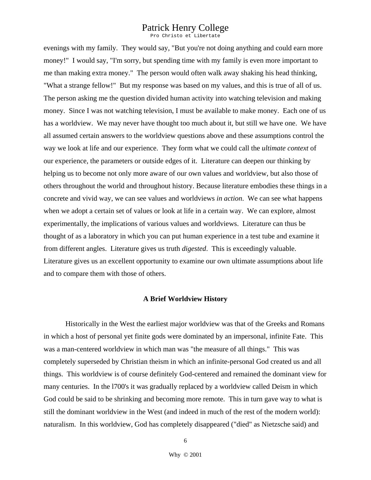Pro Christo et Libertate

evenings with my family. They would say, "But you're not doing anything and could earn more money!" I would say, "I'm sorry, but spending time with my family is even more important to me than making extra money." The person would often walk away shaking his head thinking, "What a strange fellow!" But my response was based on my values, and this is true of all of us. The person asking me the question divided human activity into watching television and making money. Since I was not watching television, I must be available to make money. Each one of us has a worldview. We may never have thought too much about it, but still we have one. We have all assumed certain answers to the worldview questions above and these assumptions control the way we look at life and our experience. They form what we could call the *ultimate context* of our experience, the parameters or outside edges of it. Literature can deepen our thinking by helping us to become not only more aware of our own values and worldview, but also those of others throughout the world and throughout history. Because literature embodies these things in a concrete and vivid way, we can see values and worldviews *in action*. We can see what happens when we adopt a certain set of values or look at life in a certain way. We can explore, almost experimentally, the implications of various values and worldviews. Literature can thus be thought of as a laboratory in which you can put human experience in a test tube and examine it from different angles. Literature gives us truth *digested*. This is exceedingly valuable. Literature gives us an excellent opportunity to examine our own ultimate assumptions about life and to compare them with those of others.

#### **A Brief Worldview History**

 Historically in the West the earliest major worldview was that of the Greeks and Romans in which a host of personal yet finite gods were dominated by an impersonal, infinite Fate. This was a man-centered worldview in which man was "the measure of all things." This was completely superseded by Christian theism in which an infinite-personal God created us and all things. This worldview is of course definitely God-centered and remained the dominant view for many centuries. In the l700's it was gradually replaced by a worldview called Deism in which God could be said to be shrinking and becoming more remote. This in turn gave way to what is still the dominant worldview in the West (and indeed in much of the rest of the modern world): naturalism. In this worldview, God has completely disappeared ("died" as Nietzsche said) and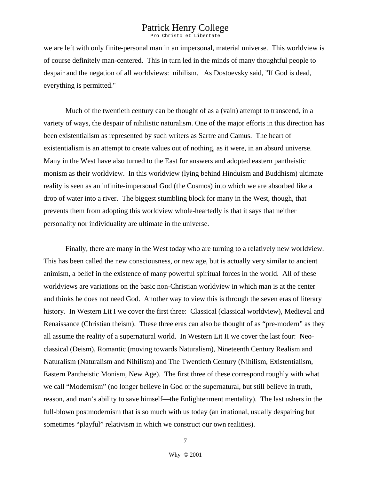Pro Christo et Libertate

we are left with only finite-personal man in an impersonal, material universe. This worldview is of course definitely man-centered. This in turn led in the minds of many thoughtful people to despair and the negation of all worldviews: nihilism. As Dostoevsky said, "If God is dead, everything is permitted."

 Much of the twentieth century can be thought of as a (vain) attempt to transcend, in a variety of ways, the despair of nihilistic naturalism. One of the major efforts in this direction has been existentialism as represented by such writers as Sartre and Camus. The heart of existentialism is an attempt to create values out of nothing, as it were, in an absurd universe. Many in the West have also turned to the East for answers and adopted eastern pantheistic monism as their worldview. In this worldview (lying behind Hinduism and Buddhism) ultimate reality is seen as an infinite-impersonal God (the Cosmos) into which we are absorbed like a drop of water into a river. The biggest stumbling block for many in the West, though, that prevents them from adopting this worldview whole-heartedly is that it says that neither personality nor individuality are ultimate in the universe.

 Finally, there are many in the West today who are turning to a relatively new worldview. This has been called the new consciousness, or new age, but is actually very similar to ancient animism, a belief in the existence of many powerful spiritual forces in the world. All of these worldviews are variations on the basic non-Christian worldview in which man is at the center and thinks he does not need God. Another way to view this is through the seven eras of literary history. In Western Lit I we cover the first three: Classical (classical worldview), Medieval and Renaissance (Christian theism). These three eras can also be thought of as "pre-modern" as they all assume the reality of a supernatural world. In Western Lit II we cover the last four: Neoclassical (Deism), Romantic (moving towards Naturalism), Nineteenth Century Realism and Naturalism (Naturalism and Nihilism) and The Twentieth Century (Nihilism, Existentialism, Eastern Pantheistic Monism, New Age). The first three of these correspond roughly with what we call "Modernism" (no longer believe in God or the supernatural, but still believe in truth, reason, and man's ability to save himself—the Enlightenment mentality). The last ushers in the full-blown postmodernism that is so much with us today (an irrational, usually despairing but sometimes "playful" relativism in which we construct our own realities).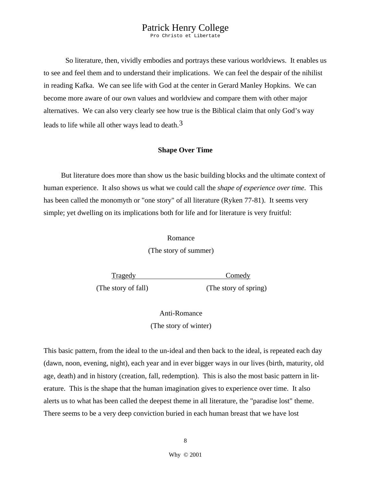Pro Christo et Libertate

 So literature, then, vividly embodies and portrays these various worldviews. It enables us to see and feel them and to understand their implications. We can feel the despair of the nihilist in reading Kafka. We can see life with God at the center in Gerard Manley Hopkins. We can become more aware of our own values and worldview and compare them with other major alternatives. We can also very clearly see how true is the Biblical claim that only God's way leads to life while all other ways lead to death.<sup>[3](#page-7-0)</sup>

#### **Shape Over Time**

But literature does more than show us the basic building blocks and the ultimate context of human experience. It also shows us what we could call the *shape of experience over time*. This has been called the monomyth or "one story" of all literature (Ryken 77-81). It seems very simple; yet dwelling on its implications both for life and for literature is very fruitful:

#### Romance

(The story of summer)

Tragedy Comedy (The story of fall) (The story of spring)

Anti-Romance (The story of winter)

<span id="page-7-0"></span> This basic pattern, from the ideal to the un-ideal and then back to the ideal, is repeated each day (dawn, noon, evening, night), each year and in ever bigger ways in our lives (birth, maturity, old age, death) and in history (creation, fall, redemption). This is also the most basic pattern in literature. This is the shape that the human imagination gives to experience over time. It also alerts us to what has been called the deepest theme in all literature, the "paradise lost" theme. There seems to be a very deep conviction buried in each human breast that we have lost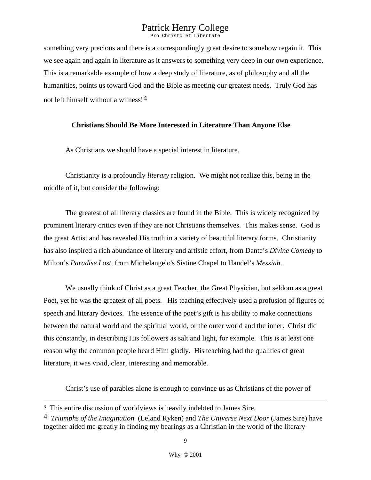Pro Christo et Libertate

<span id="page-8-0"></span>something very precious and there is a correspondingly great desire to somehow regain it. This we see again and again in literature as it answers to something very deep in our own experience. This is a remarkable example of how a deep study of literature, as of philosophy and all the humanities, points us toward God and the Bible as meeting our greatest needs. Truly God has not left himself without a witness![4](#page-8-0)

### **Christians Should Be More Interested in Literature Than Anyone Else**

As Christians we should have a special interest in literature.

 Christianity is a profoundly *literary* religion. We might not realize this, being in the middle of it, but consider the following:

 The greatest of all literary classics are found in the Bible. This is widely recognized by prominent literary critics even if they are not Christians themselves. This makes sense. God is the great Artist and has revealed His truth in a variety of beautiful literary forms. Christianity has also inspired a rich abundance of literary and artistic effort, from Dante's *Divine Comedy* to Milton's *Paradise Lost*, from Michelangelo's Sistine Chapel to Handel's *Messiah*.

 We usually think of Christ as a great Teacher, the Great Physician, but seldom as a great Poet, yet he was the greatest of all poets. His teaching effectively used a profusion of figures of speech and literary devices. The essence of the poet's gift is his ability to make connections between the natural world and the spiritual world, or the outer world and the inner. Christ did this constantly, in describing His followers as salt and light, for example. This is at least one reason why the common people heard Him gladly. His teaching had the qualities of great literature, it was vivid, clear, interesting and memorable.

Christ's use of parables alone is enough to convince us as Christians of the power of

<sup>&</sup>lt;sup>3</sup> This entire discussion of worldviews is heavily indebted to James Sire.

<sup>4</sup> *Triumphs of the Imagination* (Leland Ryken) and *The Universe Next Door* (James Sire) have together aided me greatly in finding my bearings as a Christian in the world of the literary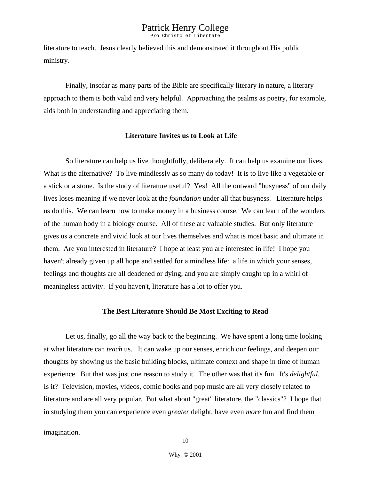Pro Christo et Libertate

literature to teach. Jesus clearly believed this and demonstrated it throughout His public ministry.

 Finally, insofar as many parts of the Bible are specifically literary in nature, a literary approach to them is both valid and very helpful. Approaching the psalms as poetry, for example, aids both in understanding and appreciating them.

#### **Literature Invites us to Look at Life**

 So literature can help us live thoughtfully, deliberately. It can help us examine our lives. What is the alternative? To live mindlessly as so many do today! It is to live like a vegetable or a stick or a stone. Is the study of literature useful? Yes! All the outward "busyness" of our daily lives loses meaning if we never look at the *foundation* under all that busyness. Literature helps us do this. We can learn how to make money in a business course. We can learn of the wonders of the human body in a biology course. All of these are valuable studies. But only literature gives us a concrete and vivid look at our lives themselves and what is most basic and ultimate in them. Are you interested in literature? I hope at least you are interested in life! I hope you haven't already given up all hope and settled for a mindless life: a life in which your senses, feelings and thoughts are all deadened or dying, and you are simply caught up in a whirl of meaningless activity. If you haven't, literature has a lot to offer you.

#### **The Best Literature Should Be Most Exciting to Read**

Let us, finally, go all the way back to the beginning. We have spent a long time looking at what literature can *teach* us. It can wake up our senses, enrich our feelings, and deepen our thoughts by showing us the basic building blocks, ultimate context and shape in time of human experience. But that was just one reason to study it. The other was that it's fun. It's *delightful*. Is it? Television, movies, videos, comic books and pop music are all very closely related to literature and are all very popular. But what about "great" literature, the "classics"? I hope that in studying them you can experience even *greater* delight, have even *more* fun and find them

imagination.